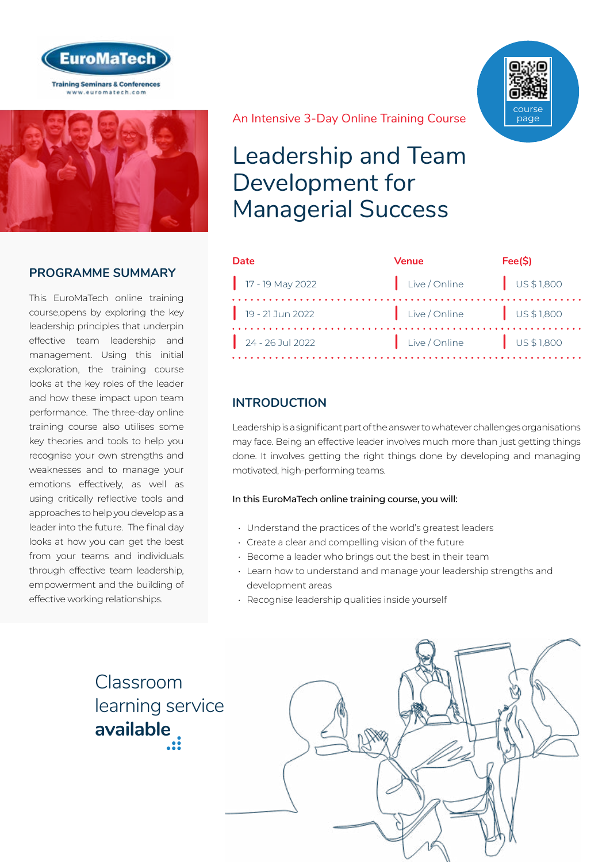



## **PROGRAMME SUMMARY**

This EuroMaTech online training course,opens by exploring the key leadership principles that underpin effective team leadership and management. Using this initial exploration, the training course looks at the key roles of the leader and how these impact upon team performance. The three-day online training course also utilises some key theories and tools to help you recognise your own strengths and weaknesses and to manage your emotions effectively, as well as using critically reflective tools and approaches to help you develop as a leader into the future. The final day looks at how you can get the best from your teams and individuals through effective team leadership, empowerment and the building of effective working relationships.

An Intensive 3-Day Online Training Course

## Leadership and Team Development for Managerial Success

| Date               | Venue                 | Fee(S)               |
|--------------------|-----------------------|----------------------|
| $17 - 19$ May 2022 | Live / Online         | $\bigcup$ US \$1,800 |
| $19 - 21$ Jun 2022 | Live/Online US\$1,800 |                      |
| $24 - 26$ Jul 2022 | Live/Online US\$1,800 |                      |

## **INTRODUCTION**

Leadership is a significant part of the answer to whatever challenges organisations may face. Being an effective leader involves much more than just getting things done. It involves getting the right things done by developing and managing motivated, high-performing teams.

#### In this EuroMaTech online training course, you will:

- Understand the practices of the world's greatest leaders
- Create a clear and compelling vision of the future
- Become a leader who brings out the best in their team
- Learn how to understand and manage your leadership strengths and development areas
- Recognise leadership qualities inside yourself

Classroom [learning service](https://www.euromatech.com/classroom-training-courses)  **available**



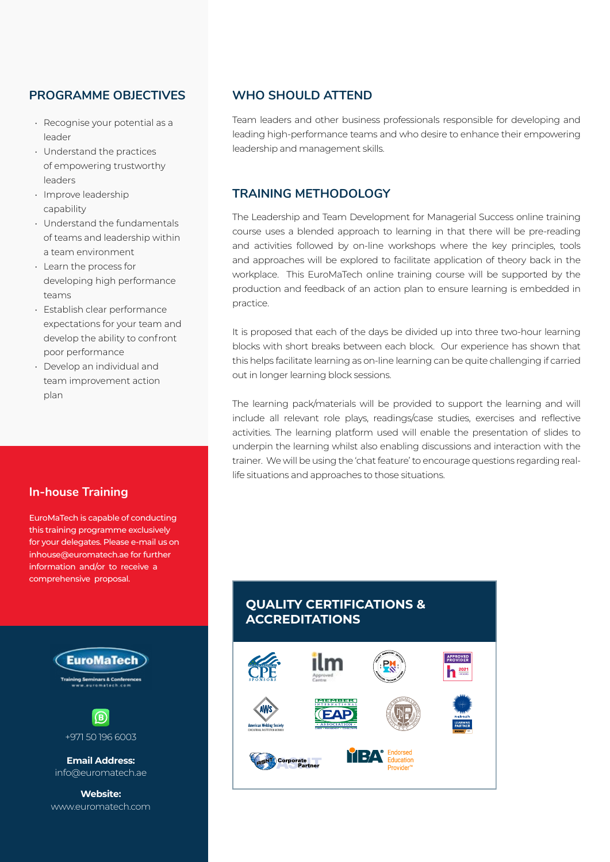## **PROGRAMME OBJECTIVES**

- Recognise your potential as a leader
- Understand the practices of empowering trustworthy leaders
- Improve leadership capability
- Understand the fundamentals of teams and leadership within a team environment
- Learn the process for developing high performance teams
- Establish clear performance expectations for your team and develop the ability to confront poor performance
- Develop an individual and team improvement action plan

#### **In-house Training**

EuroMaTech is capable of conducting this training programme exclusively for your delegates. Please e-mail us on inhouse@euromatech.ae for further information and/or to receive a comprehensive proposal.



+971 50 196 6003

**Email Address:** info@euromatech.ae

**Website:** www.euromatech.com

#### **WHO SHOULD ATTEND**

Team leaders and other business professionals responsible for developing and leading high-performance teams and who desire to enhance their empowering leadership and management skills.

#### **TRAINING METHODOLOGY**

The Leadership and Team Development for Managerial Success online training course uses a blended approach to learning in that there will be pre-reading and activities followed by on-line workshops where the key principles, tools and approaches will be explored to facilitate application of theory back in the workplace. This EuroMaTech online training course will be supported by the production and feedback of an action plan to ensure learning is embedded in practice.

It is proposed that each of the days be divided up into three two-hour learning blocks with short breaks between each block. Our experience has shown that this helps facilitate learning as on-line learning can be quite challenging if carried out in longer learning block sessions.

The learning pack/materials will be provided to support the learning and will include all relevant role plays, readings/case studies, exercises and reflective activities. The learning platform used will enable the presentation of slides to underpin the learning whilst also enabling discussions and interaction with the trainer. We will be using the 'chat feature' to encourage questions regarding reallife situations and approaches to those situations.

## **QUALITY CERTIFICATIONS & ACCREDITATIONS**

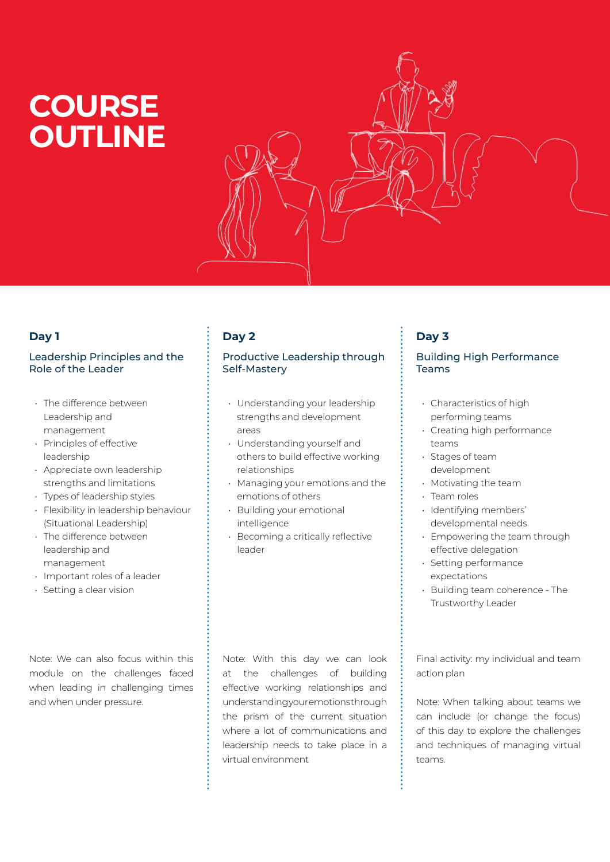# **COURSE OUTLINE**



## **Day 1**

#### Leadership Principles and the Role of the Leader

- The difference between Leadership and management
- Principles of effective leadership
- Appreciate own leadership strengths and limitations
- Types of leadership styles
- Flexibility in leadership behaviour (Situational Leadership)
- The difference between leadership and management
- Important roles of a leader
- Setting a clear vision

Note: We can also focus within this module on the challenges faced when leading in challenging times and when under pressure.

## **Day 2**

#### Productive Leadership through Self-Mastery

- Understanding your leadership strengths and development areas
- Understanding yourself and others to build effective working relationships
- Managing your emotions and the emotions of others
- Building your emotional intelligence
- Becoming a critically reflective leader

## **Day 3**

#### Building High Performance Teams

- Characteristics of high performing teams
- Creating high performance teams
- Stages of team development
- Motivating the team
- Team roles
- Identifying members' developmental needs
- Empowering the team through effective delegation
- Setting performance expectations
- Building team coherence The Trustworthy Leader

Note: With this day we can look at the challenges of building effective working relationships and understanding your emotions through the prism of the current situation where a lot of communications and leadership needs to take place in a virtual environment

Final activity: my individual and team action plan

Note: When talking about teams we can include (or change the focus) of this day to explore the challenges and techniques of managing virtual teams.